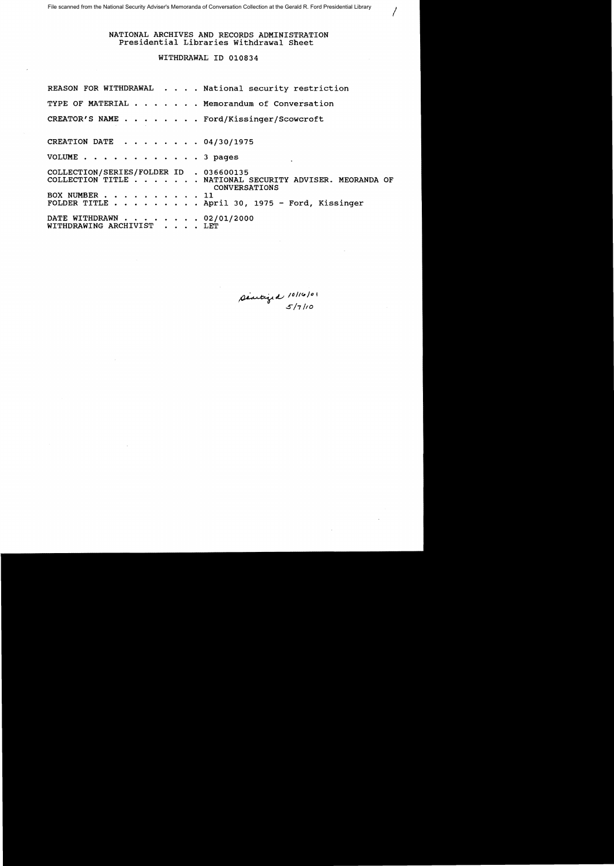### NATIONAL ARCHIVES AND RECORDS ADMINISTRATION Presidential Libraries Withdrawal Sheet

#### WITHDRAWAL ID 010834

|                                                                     | REASON FOR WITHDRAWAL National security restriction                      |
|---------------------------------------------------------------------|--------------------------------------------------------------------------|
| TYPE OF MATERIAL Memorandum of Conversation                         |                                                                          |
| CREATOR'S NAME Ford/Kissinger/Scowcroft                             |                                                                          |
| CREATION DATE 04/30/1975                                            |                                                                          |
| VOLUME $\ldots$ , $\ldots$ , $\ldots$ , $\ldots$ , $\ldots$ a pages |                                                                          |
| COLLECTION/SERIES/FOLDER ID . 036600135                             | COLLECTION TITLE NATIONAL SECURITY ADVISER. MEORANDA OF<br>CONVERSATIONS |
| BOX NUMBER 11                                                       | FOLDER TITLE April 30, 1975 - Ford, Kissinger                            |
| DATE WITHDRAWN 02/01/2000<br>WITHDRAWING ARCHIVIST LET              |                                                                          |

Dimeyed 10/16/01

 $\sqrt{2}$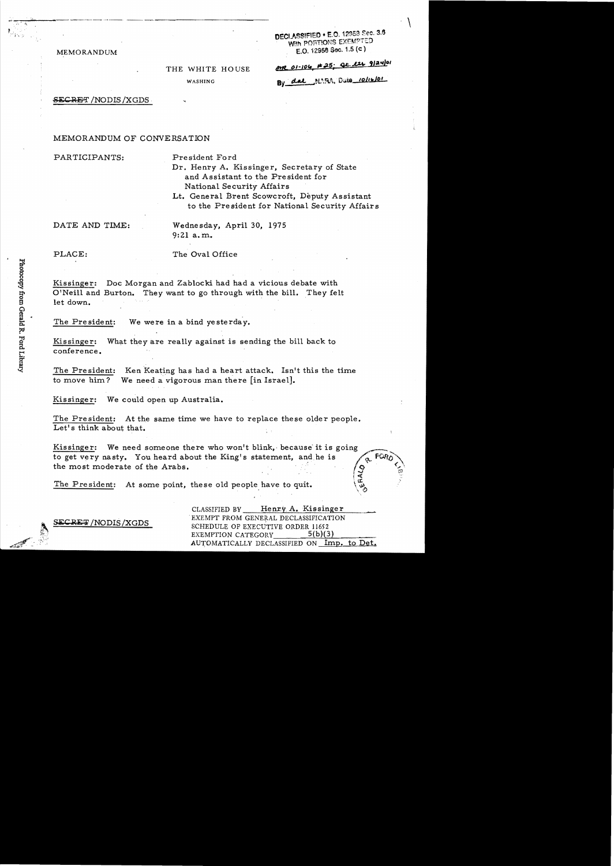MEMORANDUM

**DECLASSIFIED . E.O. 12958 Sec. 3.6** With PORTIONS EXEMPTED E.O. 12958 Sac. 1.5 (c)

THE WHITE HOUSE

WASHING

*<u>MR 01-106 #25; Qt. lik gjanjoi</u>* 

**By del NARA, Date 10/16/01** 

SECRET / NODIS / XGDS

#### MEMORANDUM OF CONVERSATION

PARTICIPANTS:

President Ford

Dr. Henry A. Kissinger. Secretary of State and Assistant to the President for National Security Affairs

Lt. General Brent Scowcroft, Deputy Assistant to the Pre sident for National Security Affair s

DATE AND TIME:

Wednesday, April 30, 1975 9:21 a. m.

PLACE:

The Oval Office

Kissinger: Doc Morgan and Zablocki had had a vicious debate with O'Neill and Burton. They want to go through With the bill. They felt let down.

The President: We were in a bind yesterday.

Kissinger: What they are really against is sending the bill back to conference.

The President: Ken Keating has had a heart attack. Isn't this the time to move him? We need a vigorous man there [in Israel].

Kissinger: We could open up Australia.

 $\texttt{\&CREF}$  /NODIS /XGDS

The President: At the same time we have to replace these older people. Let's think about that.

Kissinger: We need someone there who won't blink, because it is going<br>to get very nasty. You heard about the King's statement, and he is<br>the most moderate of the Arabs.<br>The President: At some point, these old people have to get very nasty. You heard about the King's statement, and he is

The President: At some point, these old people have to quit.



CLASSIFIED BY Henry A. Kissinger . EXEMPT FROM GENERAL DECLASSIFICATION SCHEDULE OF EXECUTIVE ORDER 11652 EXEMPTION CATEGORY  $5(b)(3)$ AUTOMATICALLY DECLASSIFIED ON Imp. to Det.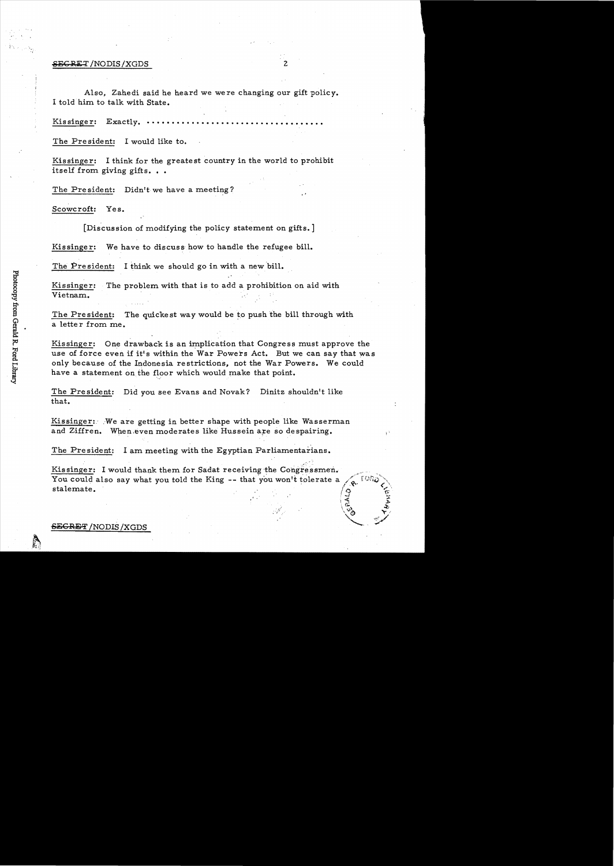#### **SECRET/NODIS/XGDS**

Also, Zahedi said he heard we were changing our gift policy. I told him to talk with State.

2

Kissinger: Exactly.

The President: I would like to.

Kissinger: I think for the greatest country in the world to prohibit itself from giving gifts...

The President: Didn't we have a meeting?

Scowcroft: Yes.

[Discussion of modifying the policy statement on gifts.]

We have to discuss how to handle the refugee bill. Kissinger:

The President: I think we should go in with a new bill.

Kissinger: The problem with that is to add a prohibition on aid with Vietnam.

The President: The quickest way would be to push the bill through with a letter from me.

Kissinger: One drawback is an implication that Congress must approve the use of force even if it's within the War Powers Act. But we can say that was only because of the Indonesia restrictions, not the War Powers. We could have a statement on the floor which would make that point.

The President: Did you see Evans and Novak? Dinitz shouldn't like that.

Kissinger: We are getting in better shape with people like Wasserman and Ziffren. When even moderates like Hussein are so despairing.

The President: I am meeting with the Egyptian Parliamentarians.

Kissinger: I would thank them for Sadat receiving the Congressmen. You could also say what you told the King -- that you won't tolerate a stalemate.

Photocopy from Gerald R. Ford Library

**SEGRET / NODIS / XGDS**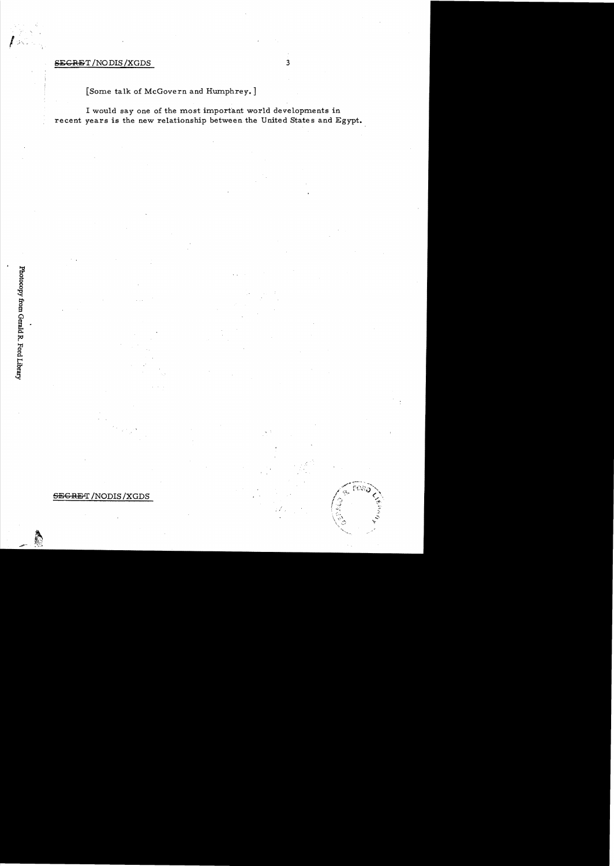# SECRET/NODIS/XGDS 3

[Some talk of McGovern and Humphrey. ]

I would say one of the most important world developments in recent years is the new relationship between the United States and Egypt.

 $\mathcal{A}$ 

 $\int_{\mathbb{R}^{N}}$ 

SEGRET /NODIS /XGDS